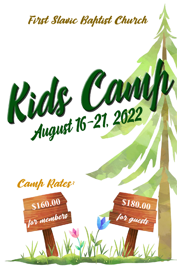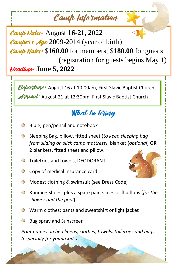# Camp Information

Camp Dates: August **16-21**, 2022 **Campel's Age** 2009-2014 (year of birth) Camp Rates: \$**160.00** for members; \$**180.00** for guests (registration for guests begins May 1) Deadline: **June 5, 2022**

Deharture: August 16 at 10:00am, First Slavic Baptist Church **Arrival:** August 21 at 12:30pm, First Slavic Baptist Church

## What to bring

- Bible, pen/pencil and notebook
- $\odot$ Sleeping Bag, pillow, fitted sheet (*to keep sleeping bag from sliding on slick camp mattress),* blanket (*optional*) **OR** 2 blankets, fitted sheet and pillow.
- $\odot$ Toiletries and towels, DEODORANT
- 3 Copy of medical insurance card



- $\odot$ Modest clothing & swimsuit (see Dress Code)
- $\odot$ Running Shoes, plus a spare pair, slides or flip flops (*for the shower and the pool*)
- $\odot$ Warm clothes: pants and sweatshirt or light jacket
- ۞ Bug spray and Sunscreen

*Print names on bed linens, clothes, towels, toiletries and bags (especially for young kids)*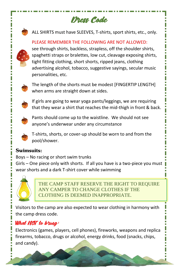

Dress Code

• ALL SHIRTS must have SLEEVES, T-shirts, sport shirts, etc., only.

PLEASE REMEMBER THE FOLLOWING ARE NOT ALLOWED:

Π Ė

see through shirts, backless, strapless, off the shoulder shirts, spaghetti straps or bralettes, low cut, cleavage exposing shirts, tight fitting clothing, short shorts, ripped jeans, clothing advertising alcohol, tobacco, suggestive sayings, secular music personalities, etc.



The length of the shorts must be modest [FINGERTIP LENGTH] when arms are straight down at sides.



If girls are going to wear yoga pants/leggings, we are requiring that they wear a shirt that reaches the mid-thigh in front & back.



Pants should come up to the waistline. We should not see anyone's underwear under any circumstance



T-shirts, shorts, or cover-up should be worn to and from the pool/shower.

#### **Swimsuits:**

Boys – No racing or short swim trunks

Girls – One piece only with shorts. If all you have is a two-piece you must wear shorts and a dark T-shirt cover while swimming



THE CAMP STAFF RESERVE THE RIGHT TO REQUIRE ANY CAMPER TO CHANGE CLOTHES IF THE CLOTHING IS DEEMED INAPPROPRIATE.

Visitors to the camp are also expected to wear clothing in harmony with the camp dress code.

### What NOT to bring:

Electronics (games, players, cell phones), fireworks, weapons and replica firearms, tobacco, drugs or alcohol, energy drinks, food (snacks, chips, and candy).